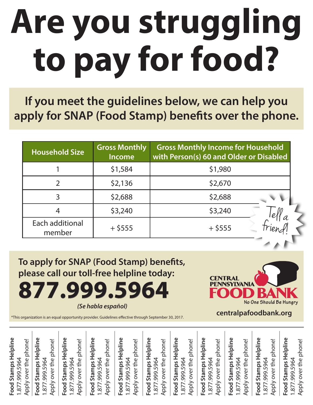## **Are you struggling to pay for food?**

**If you meet the guidelines below, we can help you apply for SNAP (Food Stamp) benefits over the phone.**

| <b>Household Size</b>     | <b>Gross Monthly</b><br>Income | <b>Gross Monthly Income for Household</b><br>with Person(s) 60 and Older or Disabled |
|---------------------------|--------------------------------|--------------------------------------------------------------------------------------|
|                           | \$1,584                        | \$1,980                                                                              |
|                           | \$2,136                        | \$2,670                                                                              |
|                           | \$2,688                        | \$2,688                                                                              |
|                           | \$3,240                        | \$3,240                                                                              |
| Each additional<br>member | $+$ \$555                      | $+$ \$555                                                                            |

**To apply for SNAP (Food Stamp) benefits, please call our toll-free helpline today: 877.999.5964** *(Se habla español)*



**centralpafoodbank.org**

\*This organization is an equal opportunity provider. Guidelines effective through September 30, 2017.

| Food Stamps Helpline<br>1.877.999.5964<br>phone!<br>over the<br>Apply                    |
|------------------------------------------------------------------------------------------|
| Stamps Helpline<br>phone!<br>1.877.999.5964<br>over the<br><b>Apply</b><br>Food          |
| Stamps Helpline<br>phone!<br>1.877.999.5964<br>Apply over the<br>Food:                   |
| Helpline<br>phone!<br>.999.5964<br>over the<br>Stamps<br><b>Apply</b><br>Food<br>1.877.  |
| Food Stamps Helpline<br>Apply over the phone!<br>999.5964<br>1.877.                      |
| Stamps Helpline<br>phone!<br>999.5964<br>Apply over the<br>Food:<br>1.877.               |
| Food Stamps Helpline<br>Apply over the phone!<br>999.5964<br>1.877.                      |
| Helpline<br>phone!<br>.999.5964<br>over the<br>Stamps<br><b>Apply</b><br>Food:<br>1.877. |
| Food Stamps Helpline<br>Apply over the phone!<br>1.877.999.5964                          |
| Helpline<br>phone!<br>.999.5964<br>over the<br>Stamps<br><b>Apply</b><br>Food:<br>1.877. |
| Food Stamps Helpline<br>phone!<br>1.877.999.5964<br>Apply over the p                     |